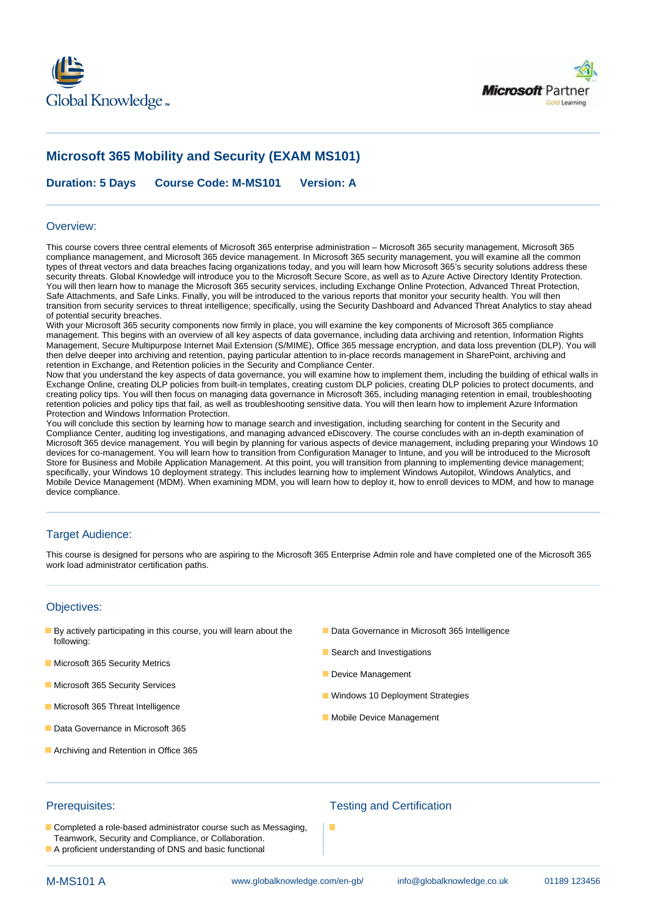



# **Microsoft 365 Mobility and Security (EXAM MS101)**

**Duration: 5 Days Course Code: M-MS101 Version: A**

### Overview:

This course covers three central elements of Microsoft 365 enterprise administration – Microsoft 365 security management, Microsoft 365 compliance management, and Microsoft 365 device management. In Microsoft 365 security management, you will examine all the common types of threat vectors and data breaches facing organizations today, and you will learn how Microsoft 365's security solutions address these security threats. Global Knowledge will introduce you to the Microsoft Secure Score, as well as to Azure Active Directory Identity Protection. You will then learn how to manage the Microsoft 365 security services, including Exchange Online Protection, Advanced Threat Protection, Safe Attachments, and Safe Links. Finally, you will be introduced to the various reports that monitor your security health. You will then transition from security services to threat intelligence; specifically, using the Security Dashboard and Advanced Threat Analytics to stay ahead of potential security breaches.

With your Microsoft 365 security components now firmly in place, you will examine the key components of Microsoft 365 compliance management. This begins with an overview of all key aspects of data governance, including data archiving and retention, Information Rights Management, Secure Multipurpose Internet Mail Extension (S/MIME), Office 365 message encryption, and data loss prevention (DLP). You will then delve deeper into archiving and retention, paying particular attention to in-place records management in SharePoint, archiving and retention in Exchange, and Retention policies in the Security and Compliance Center.

Now that you understand the key aspects of data governance, you will examine how to implement them, including the building of ethical walls in Exchange Online, creating DLP policies from built-in templates, creating custom DLP policies, creating DLP policies to protect documents, and creating policy tips. You will then focus on managing data governance in Microsoft 365, including managing retention in email, troubleshooting retention policies and policy tips that fail, as well as troubleshooting sensitive data. You will then learn how to implement Azure Information Protection and Windows Information Protection.

You will conclude this section by learning how to manage search and investigation, including searching for content in the Security and Compliance Center, auditing log investigations, and managing advanced eDiscovery. The course concludes with an in-depth examination of Microsoft 365 device management. You will begin by planning for various aspects of device management, including preparing your Windows 10 devices for co-management. You will learn how to transition from Configuration Manager to Intune, and you will be introduced to the Microsoft Store for Business and Mobile Application Management. At this point, you will transition from planning to implementing device management; specifically, your Windows 10 deployment strategy. This includes learning how to implement Windows Autopilot, Windows Analytics, and Mobile Device Management (MDM). When examining MDM, you will learn how to deploy it, how to enroll devices to MDM, and how to manage device compliance.

## Target Audience:

This course is designed for persons who are aspiring to the Microsoft 365 Enterprise Admin role and have completed one of the Microsoft 365 work load administrator certification paths.

### Objectives:

- **By actively participating in this course, you will learn about the Data Governance in Microsoft 365 Intelligence** following:
- **Microsoft 365 Security Metrics**
- **Microsoft 365 Security Services**
- **Microsoft 365 Threat Intelligence**
- Data Governance in Microsoft 365
- **Archiving and Retention in Office 365**
- 
- Search and Investigations
- Device Management
- **Windows 10 Deployment Strategies**
- **Mobile Device Management**

- Completed a role-based administrator course such as Messaging, Teamwork, Security and Compliance, or Collaboration.
- A proficient understanding of DNS and basic functional

## Prerequisites: Testing and Certification

п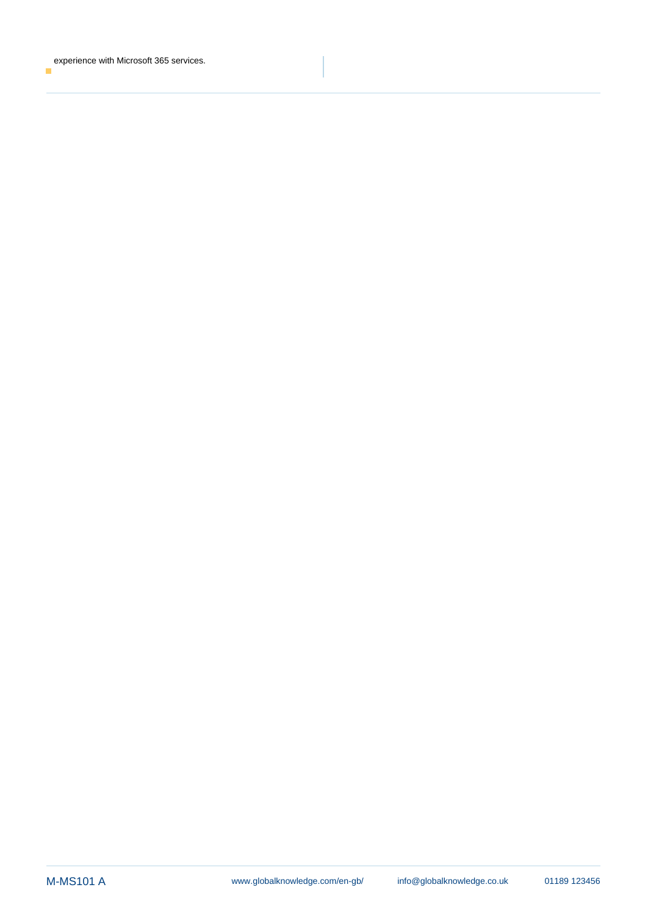experience with Microsoft 365 services. $\overline{\phantom{a}}$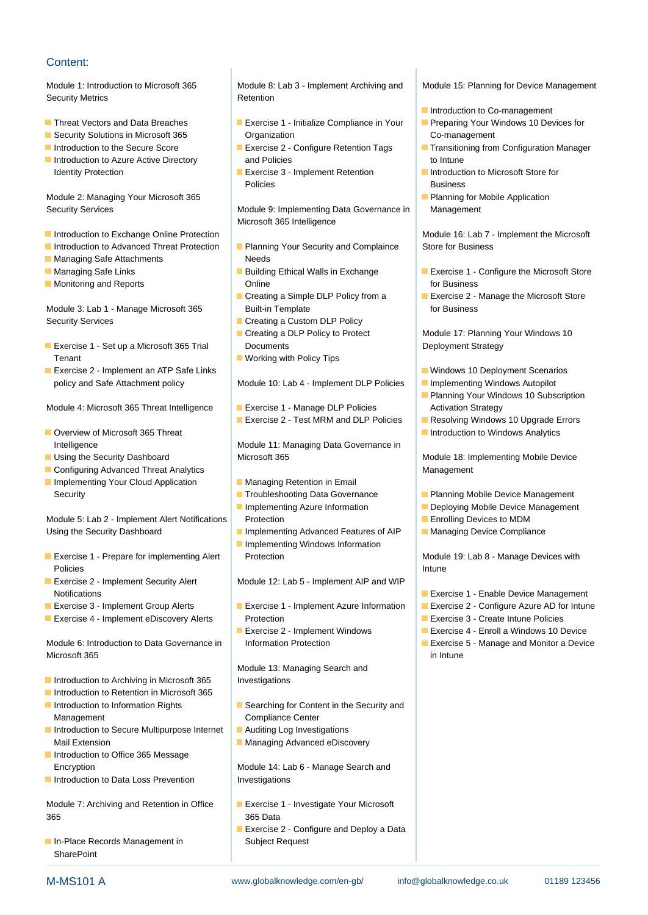## Content:

Security Metrics **Retention** lines and a security Metrics and a security Metric and Retention

- 
- 
- 
- Identity Protection **Exercise 3 Implement Retention** Introduction to Microsoft Store for

Module 2: Managing Your Microsoft 365 Planning for Mobile Application

- Introduction to Exchange Online Protection line method is a set of the Microsoft Module 16: Lab 7 Implement the Microsoft
- 
- **Managing Safe Attachments Needs Needs**
- 
- 

Module 3: Lab 1 - Manage Microsoft 365 Built-in Template for Business for Business Security Services **Creating a Custom DLP Policy** 

- **Exercise 1 Set up a Microsoft 365 Trial Documents Deployment Strategy** Deployment Strategy Tenant **Tenant** Working with Policy Tips lines are a structured with Policy Tips lines and the United Structured Working with Policy Tips
- **Exercise 2 Implement an ATP Safe Links** Windows 10 Deployment Scenarios

Module 4: Microsoft 365 Threat Intelligence Exercise 1 - Manage DLP Policies Activation Strategy

- 
- 
- **Configuring Advanced Threat Analytics line Management** Management Implementing Your Cloud Application Managing Retention in Email

Using the Security Dashboard **Implementing Advanced Features of AIP** Managing Device Compliance

- Policies **Intunction and Contract Contract Contract Contract Contract Contract Contract Contract Contract Contract Contract Contract Contract Contract Contract Contract Contract Contract Contract Contract Contract Contract**
- 
- 
- 

Module 6: Introduction to Data Governance in Information Protection Exercise 5 - Manage and Monitor a Device Microsoft 365 in Intune

- Introduction to Archiving in Microsoft 365 | Investigations
- **Introduction to Retention in Microsoft 365**
- Management Compliance Center
- Introduction to Secure Multipurpose Internet |■ Auditing Log Investigations Mail Extension **Managing Advanced eDiscovery** Mail Extension
- **Introduction to Office 365 Message**
- Introduction to Data Loss Prevention Investigations

365 365 Data

In-Place Records Management in Subject Request **SharePoint** 

Module 1: Introduction to Microsoft 365 Module 8: Lab 3 - Implement Archiving and Module 15: Planning for Device Management

- **Exercise 1 Initialize Compliance in Your Preparing Your Windows 10 Devices for Preparing Your Windows 10 Devices for Security Solutions in Microsoft 365** Organization Co-management Co-management
- **Introduction to Azure Active Directory** and Policies **and Policies** to Intune
	- Policies **Business** Business

Security Services **Module 9: Implementing Data Governance in** Management Microsoft 365 Intelligence

- Introduction to Advanced Threat Protection Planning Your Security and Complaince Store for Business
- **Monitoring and Reports Concernsive Conditional Conditional Condition** of the formulation of the for Business
	-
	-
	-
	-

policy and Safe Attachment policy Module 10: Lab 4 - Implement DLP Policies Inplementing Windows Autopilot

- 
- **Exercise 2 Test MRM and DLP Policies** Resolving Windows 10 Upgrade Errors

Intelligence **Module 11: Managing Data Governance in** Using the Security Dashboard Microsoft 365 Module 18: Implementing Mobile Device

- 
- Implementing Azure Information **Deploying Mobile Device Management**
- 
- **Inplementing Windows Information Exercise 1 - Prepare for implementing Alert Protection Communisties Accord Module 19: Lab 8 - Manage Devices with**

**Exercise 2 - Implement Security Alert Module 12: Lab 5 - Implement AIP and WIP** 

- **Exercise 4 Implement eDiscovery Alerts Protection Exercise 3 Create Intune Policies Exercise 3 Create Intune Policies** 
	-

Module 13: Managing Search and

- Introduction to Information Rights Searching for Content in the Security and
	-
	-

Encryption **Module 14: Lab 6 - Manage Search and** 

- Module 7: Archiving and Retention in Office **Exercise 1 Investigate Your Microsoft** 
	- Exercise 2 Configure and Deploy a Data

- $\blacksquare$  Introduction to Co-management
- 
- Introduction to the Secure Score |■ Exercise 2 Configure Retention Tags |■ Transitioning from Configuration Manager
	-
	-

- Managing Safe Links **Building Ethical Walls in Exchange** Building Ethical Walls in Exchange Exercise 1 Configure the Microsoft Store
	- Creating a Simple DLP Policy from a Fundal Exercise 2 Manage the Microsoft Store

■ Creating a DLP Policy to Protect Module 17: Planning Your Windows 10

- 
- 
- **Planning Your Windows 10 Subscription**
- 
- **Overview of Microsoft 365 Threat Interview of Microsoft 365 Threat Interview Analytics Introduction to Windows Analytics**

- Security **Troubleshooting Data Governance Planning Mobile Device Management** 
	-
- Module 5: Lab 2 Implement Alert Notifications Protection Enrolling Devices to MDM
	-

- Notifications line Exercise 1 Enable Device Management
- **Exercise 3 Implement Group Alerts Exercise 1 Implement Azure Information** Exercise 2 Configure Azure AD for Intune
	-
	- Exercise 2 Implement Windows Exercise 4 Enroll a Windows 10 Device
		-